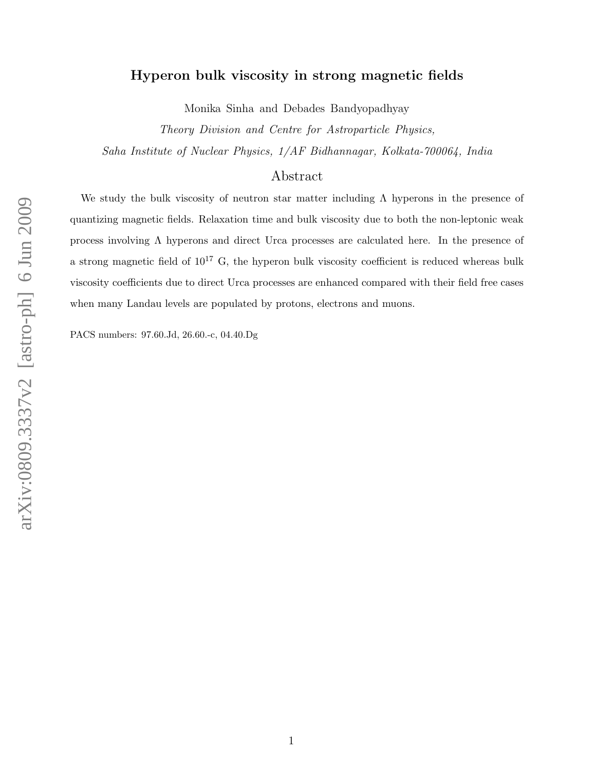# Hyperon bulk viscosity in strong magnetic fields

Monika Sinha and Debades Bandyopadhyay

Theory Division and Centre for Astroparticle Physics, Saha Institute of Nuclear Physics, 1/AF Bidhannagar, Kolkata-700064, India

## Abstract

We study the bulk viscosity of neutron star matter including  $\Lambda$  hyperons in the presence of quantizing magnetic fields. Relaxation time and bulk viscosity due to both the non-leptonic weak process involving Λ hyperons and direct Urca processes are calculated here. In the presence of a strong magnetic field of  $10^{17}$  G, the hyperon bulk viscosity coefficient is reduced whereas bulk viscosity coefficients due to direct Urca processes are enhanced compared with their field free cases when many Landau levels are populated by protons, electrons and muons.

PACS numbers: 97.60.Jd, 26.60.-c, 04.40.Dg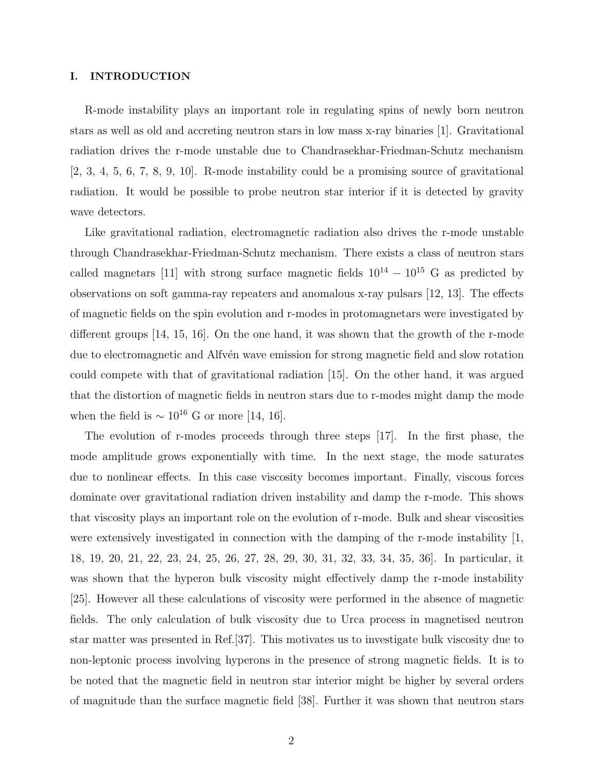#### I. INTRODUCTION

R-mode instability plays an important role in regulating spins of newly born neutron stars as well as old and accreting neutron stars in low mass x-ray binaries [1]. Gravitational radiation drives the r-mode unstable due to Chandrasekhar-Friedman-Schutz mechanism [2, 3, 4, 5, 6, 7, 8, 9, 10]. R-mode instability could be a promising source of gravitational radiation. It would be possible to probe neutron star interior if it is detected by gravity wave detectors.

Like gravitational radiation, electromagnetic radiation also drives the r-mode unstable through Chandrasekhar-Friedman-Schutz mechanism. There exists a class of neutron stars called magnetars [11] with strong surface magnetic fields  $10^{14} - 10^{15}$  G as predicted by observations on soft gamma-ray repeaters and anomalous x-ray pulsars [12, 13]. The effects of magnetic fields on the spin evolution and r-modes in protomagnetars were investigated by different groups [14, 15, 16]. On the one hand, it was shown that the growth of the r-mode due to electromagnetic and Alfv<sup>én</sup> wave emission for strong magnetic field and slow rotation could compete with that of gravitational radiation [15]. On the other hand, it was argued that the distortion of magnetic fields in neutron stars due to r-modes might damp the mode when the field is  $\sim 10^{16}$  G or more [14, 16].

The evolution of r-modes proceeds through three steps [17]. In the first phase, the mode amplitude grows exponentially with time. In the next stage, the mode saturates due to nonlinear effects. In this case viscosity becomes important. Finally, viscous forces dominate over gravitational radiation driven instability and damp the r-mode. This shows that viscosity plays an important role on the evolution of r-mode. Bulk and shear viscosities were extensively investigated in connection with the damping of the r-mode instability [1, 18, 19, 20, 21, 22, 23, 24, 25, 26, 27, 28, 29, 30, 31, 32, 33, 34, 35, 36]. In particular, it was shown that the hyperon bulk viscosity might effectively damp the r-mode instability [25]. However all these calculations of viscosity were performed in the absence of magnetic fields. The only calculation of bulk viscosity due to Urca process in magnetised neutron star matter was presented in Ref.[37]. This motivates us to investigate bulk viscosity due to non-leptonic process involving hyperons in the presence of strong magnetic fields. It is to be noted that the magnetic field in neutron star interior might be higher by several orders of magnitude than the surface magnetic field [38]. Further it was shown that neutron stars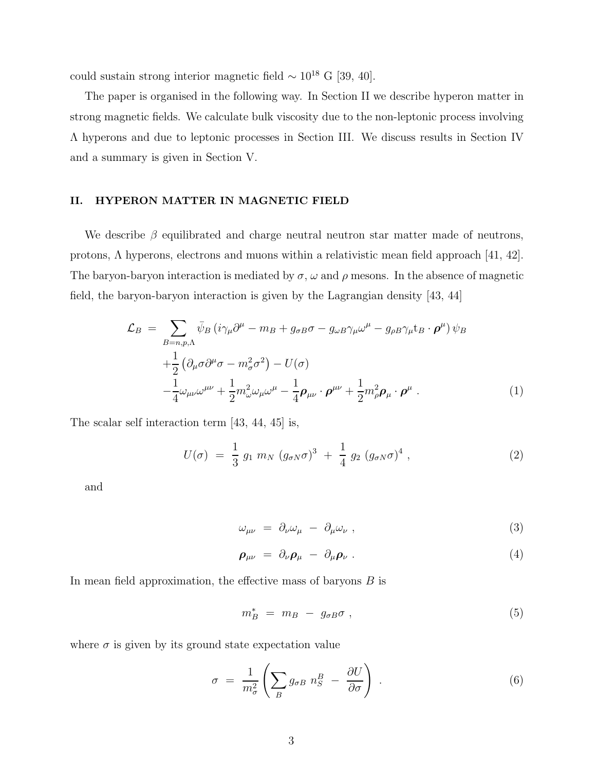could sustain strong interior magnetic field  $\sim 10^{18}$  G [39, 40].

The paper is organised in the following way. In Section II we describe hyperon matter in strong magnetic fields. We calculate bulk viscosity due to the non-leptonic process involving Λ hyperons and due to leptonic processes in Section III. We discuss results in Section IV and a summary is given in Section V.

### II. HYPERON MATTER IN MAGNETIC FIELD

We describe  $\beta$  equilibrated and charge neutral neutron star matter made of neutrons, protons,  $\Lambda$  hyperons, electrons and muons within a relativistic mean field approach [41, 42]. The baryon-baryon interaction is mediated by  $\sigma$ ,  $\omega$  and  $\rho$  mesons. In the absence of magnetic field, the baryon-baryon interaction is given by the Lagrangian density [43, 44]

$$
\mathcal{L}_{B} = \sum_{B=n,p,\Lambda} \bar{\psi}_{B} \left( i \gamma_{\mu} \partial^{\mu} - m_{B} + g_{\sigma B} \sigma - g_{\omega B} \gamma_{\mu} \omega^{\mu} - g_{\rho B} \gamma_{\mu} t_{B} \cdot \boldsymbol{\rho}^{\mu} \right) \psi_{B}
$$
  
 
$$
+ \frac{1}{2} \left( \partial_{\mu} \sigma \partial^{\mu} \sigma - m_{\sigma}^{2} \sigma^{2} \right) - U(\sigma)
$$
  
 
$$
- \frac{1}{4} \omega_{\mu\nu} \omega^{\mu\nu} + \frac{1}{2} m_{\omega}^{2} \omega_{\mu} \omega^{\mu} - \frac{1}{4} \rho_{\mu\nu} \cdot \boldsymbol{\rho}^{\mu\nu} + \frac{1}{2} m_{\rho}^{2} \boldsymbol{\rho}_{\mu} \cdot \boldsymbol{\rho}^{\mu} . \tag{1}
$$

The scalar self interaction term [43, 44, 45] is,

$$
U(\sigma) = \frac{1}{3} g_1 m_N (g_{\sigma N} \sigma)^3 + \frac{1}{4} g_2 (g_{\sigma N} \sigma)^4 , \qquad (2)
$$

and

$$
\omega_{\mu\nu} = \partial_{\nu}\omega_{\mu} - \partial_{\mu}\omega_{\nu} , \qquad (3)
$$

$$
\rho_{\mu\nu} = \partial_{\nu}\rho_{\mu} - \partial_{\mu}\rho_{\nu} . \qquad (4)
$$

In mean field approximation, the effective mass of baryons B is

$$
m_B^* = m_B - g_{\sigma B} \sigma , \qquad (5)
$$

where  $\sigma$  is given by its ground state expectation value

$$
\sigma = \frac{1}{m_{\sigma}^2} \left( \sum_B g_{\sigma B} n_S^B - \frac{\partial U}{\partial \sigma} \right) . \tag{6}
$$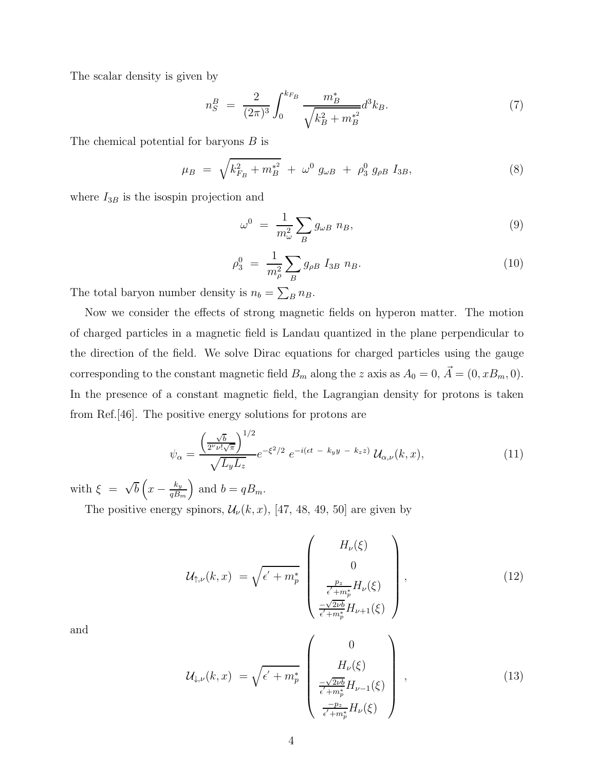The scalar density is given by

$$
n_S^B = \frac{2}{(2\pi)^3} \int_0^{k_{F_B}} \frac{m_B^*}{\sqrt{k_B^2 + m_B^{*2}}} d^3k_B. \tag{7}
$$

The chemical potential for baryons B is

$$
\mu_B = \sqrt{k_{F_B}^2 + m_B^{*2}} + \omega^0 g_{\omega B} + \rho_3^0 g_{\rho B} I_{3B}, \tag{8}
$$

where  $I_{3B}$  is the isospin projection and

$$
\omega^0 = \frac{1}{m_{\omega}^2} \sum_B g_{\omega B} \; n_B,\tag{9}
$$

$$
\rho_3^0 = \frac{1}{m_\rho^2} \sum_B g_{\rho B} I_{3B} n_B. \tag{10}
$$

The total baryon number density is  $n_b = \sum_B n_B$ .

Now we consider the effects of strong magnetic fields on hyperon matter. The motion of charged particles in a magnetic field is Landau quantized in the plane perpendicular to the direction of the field. We solve Dirac equations for charged particles using the gauge corresponding to the constant magnetic field  $B_m$  along the z axis as  $A_0 = 0$ ,  $\vec{A} = (0, xB_m, 0)$ . In the presence of a constant magnetic field, the Lagrangian density for protons is taken from Ref.[46]. The positive energy solutions for protons are

$$
\psi_{\alpha} = \frac{\left(\frac{\sqrt{b}}{2^{\nu} \nu! \sqrt{\pi}}\right)^{1/2}}{\sqrt{L_y L_z}} e^{-\xi^2/2} e^{-i(\epsilon t \ - \ k_y y \ - \ k_z z)} \mathcal{U}_{\alpha, \nu}(k, x), \tag{11}
$$

with  $\xi = \sqrt{b} \left( x - \frac{k_y}{qB_y} \right)$  $qB_m$ ) and  $b = qB_m$ .

The positive energy spinors,  $\mathcal{U}_{\nu}(k, x)$ , [47, 48, 49, 50] are given by

$$
\mathcal{U}_{\uparrow,\nu}(k,x) = \sqrt{\epsilon' + m_p^*} \begin{pmatrix} H_{\nu}(\xi) \\ 0 \\ 0 \\ \frac{p_z}{\epsilon' + m_p^*} H_{\nu}(\xi) \\ \frac{-\sqrt{2\nu b}}{\epsilon' + m_p^*} H_{\nu+1}(\xi) \end{pmatrix},
$$
\n(12)

and

$$
\mathcal{U}_{\downarrow,\nu}(k,x) = \sqrt{\epsilon' + m_p^*} \begin{pmatrix} 0 \\ H_{\nu}(\xi) \\ \frac{-\sqrt{2\nu b}}{\epsilon' + m_p^*} H_{\nu-1}(\xi) \\ \frac{-p_z}{\epsilon' + m_p^*} H_{\nu}(\xi) \end{pmatrix},
$$
\n(13)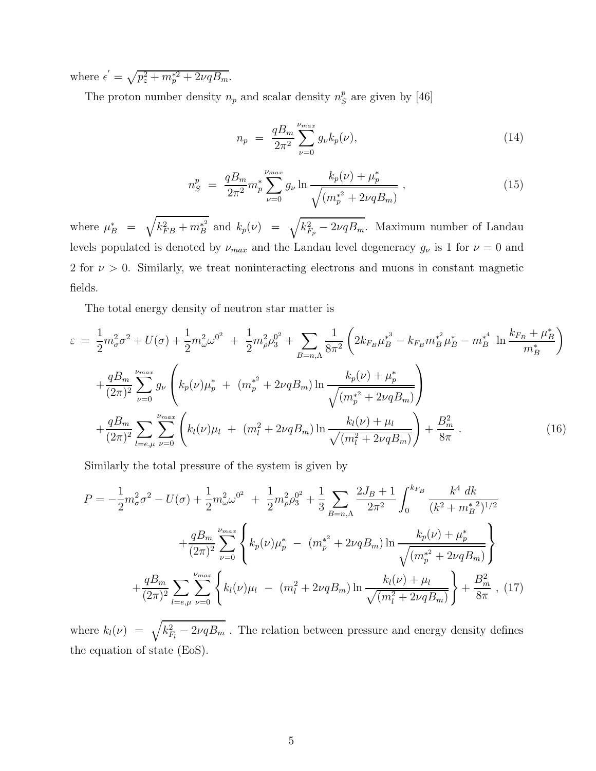where  $\epsilon' = \sqrt{p_z^2 + m_p^{*2} + 2\nu q B_m}$ .

The proton number density  $n_p$  and scalar density  $n_S^p$  $S<sup>p</sup>$  are given by [46]

$$
n_p = \frac{qB_m}{2\pi^2} \sum_{\nu=0}^{\nu_{max}} g_{\nu} k_p(\nu), \tag{14}
$$

$$
n_S^p = \frac{qB_m}{2\pi^2} m_p^* \sum_{\nu=0}^{\nu_{max}} g_\nu \ln \frac{k_p(\nu) + \mu_p^*}{\sqrt{(m_p^{*2} + 2\nu qB_m)}}, \qquad (15)
$$

where  $\mu_B^* = \sqrt{k_{FB}^2 + m_B^{*^2}}$  $\mu_B^{\ast^2}$  and  $k_p(\nu) = \sqrt{k_{F_p}^2 - 2\nu qB_m}$ . Maximum number of Landau levels populated is denoted by  $\nu_{max}$  and the Landau level degeneracy  $g_{\nu}$  is 1 for  $\nu = 0$  and 2 for  $\nu > 0$ . Similarly, we treat noninteracting electrons and muons in constant magnetic fields.

The total energy density of neutron star matter is

$$
\varepsilon = \frac{1}{2} m_{\sigma}^{2} \sigma^{2} + U(\sigma) + \frac{1}{2} m_{\omega}^{2} \omega^{0^{2}} + \frac{1}{2} m_{\rho}^{2} \rho_{3}^{0^{2}} + \sum_{B=n,\Lambda} \frac{1}{8\pi^{2}} \left( 2k_{F_{B}} \mu_{B}^{*^{3}} - k_{F_{B}} m_{B}^{*^{2}} \mu_{B}^{*} - m_{B}^{*^{4}} \ln \frac{k_{F_{B}} + \mu_{B}^{*}}{m_{B}^{*}} \right) + \frac{q B_{m}}{(2\pi)^{2}} \sum_{\nu=0}^{\nu_{max}} g_{\nu} \left( k_{p}(\nu) \mu_{p}^{*} + (m_{p}^{*^{2}} + 2\nu q B_{m}) \ln \frac{k_{p}(\nu) + \mu_{p}^{*}}{\sqrt{(m_{p}^{*^{2}} + 2\nu q B_{m})}} \right) + \frac{q B_{m}}{(2\pi)^{2}} \sum_{l=e,\mu} \sum_{\nu=0}^{\nu_{max}} \left( k_{l}(\nu) \mu_{l} + (m_{l}^{2} + 2\nu q B_{m}) \ln \frac{k_{l}(\nu) + \mu_{l}}{\sqrt{(m_{l}^{2} + 2\nu q B_{m})}} \right) + \frac{B_{m}^{2}}{8\pi} .
$$
 (16)

Similarly the total pressure of the system is given by

$$
P = -\frac{1}{2}m_{\sigma}^{2}\sigma^{2} - U(\sigma) + \frac{1}{2}m_{\omega}^{2}\omega^{0^{2}} + \frac{1}{2}m_{\rho}^{2}\rho_{3}^{0^{2}} + \frac{1}{3}\sum_{B=n,\Lambda}\frac{2J_{B}+1}{2\pi^{2}}\int_{0}^{k_{F_{B}}}\frac{k^{4} dk}{(k^{2}+m_{B}^{*2})^{1/2}} + \frac{qB_{m}}{(2\pi)^{2}}\sum_{\nu=0}^{\nu_{max}}\left\{k_{p}(\nu)\mu_{p}^{*} - (m_{p}^{*^{2}} + 2\nu qB_{m})\ln\frac{k_{p}(\nu) + \mu_{p}^{*}}{\sqrt{(m_{p}^{*^{2}} + 2\nu qB_{m})}}\right\} + \frac{qB_{m}}{(2\pi)^{2}}\sum_{l=e,\mu}\sum_{\nu=0}^{\nu_{max}}\left\{k_{l}(\nu)\mu_{l} - (m_{l}^{2} + 2\nu qB_{m})\ln\frac{k_{l}(\nu) + \mu_{l}}{\sqrt{(m_{l}^{2} + 2\nu qB_{m})}}\right\} + \frac{B_{m}^{2}}{8\pi},
$$
(17)

where  $k_l(\nu) = \sqrt{k_{F_l}^2 - 2\nu qB_m}$ . The relation between pressure and energy density defines the equation of state (EoS).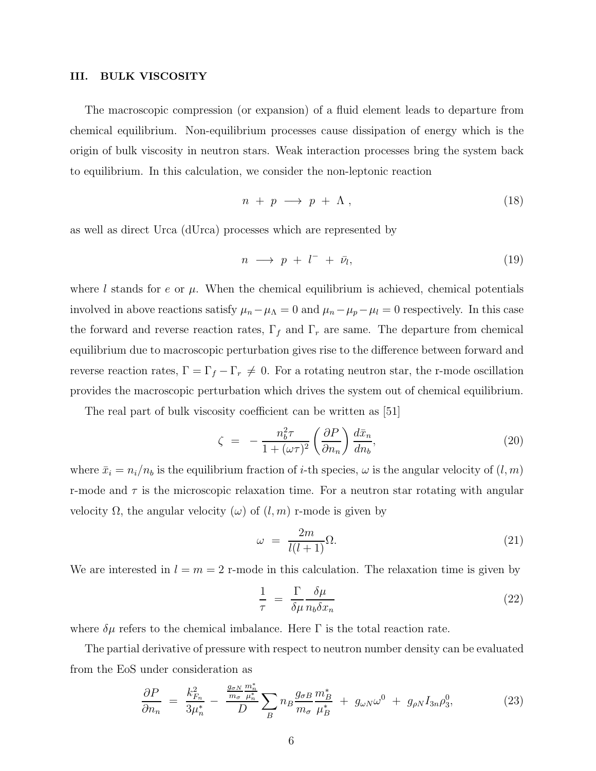### III. BULK VISCOSITY

The macroscopic compression (or expansion) of a fluid element leads to departure from chemical equilibrium. Non-equilibrium processes cause dissipation of energy which is the origin of bulk viscosity in neutron stars. Weak interaction processes bring the system back to equilibrium. In this calculation, we consider the non-leptonic reaction

$$
n + p \longrightarrow p + \Lambda , \qquad (18)
$$

as well as direct Urca (dUrca) processes which are represented by

$$
n \longrightarrow p + l^{-} + \bar{\nu}_{l}, \tag{19}
$$

where l stands for e or  $\mu$ . When the chemical equilibrium is achieved, chemical potentials involved in above reactions satisfy  $\mu_n - \mu_\Lambda = 0$  and  $\mu_n - \mu_p - \mu_l = 0$  respectively. In this case the forward and reverse reaction rates,  $\Gamma_f$  and  $\Gamma_r$  are same. The departure from chemical equilibrium due to macroscopic perturbation gives rise to the difference between forward and reverse reaction rates,  $\Gamma = \Gamma_f - \Gamma_r \neq 0$ . For a rotating neutron star, the r-mode oscillation provides the macroscopic perturbation which drives the system out of chemical equilibrium.

The real part of bulk viscosity coefficient can be written as [51]

$$
\zeta = -\frac{n_b^2 \tau}{1 + (\omega \tau)^2} \left(\frac{\partial P}{\partial n_n}\right) \frac{d\bar{x}_n}{dn_b},\tag{20}
$$

where  $\bar{x}_i = n_i/n_b$  is the equilibrium fraction of *i*-th species,  $\omega$  is the angular velocity of  $(l, m)$ r-mode and  $\tau$  is the microscopic relaxation time. For a neutron star rotating with angular velocity  $\Omega$ , the angular velocity  $(\omega)$  of  $(l, m)$  r-mode is given by

$$
\omega = \frac{2m}{l(l+1)}\Omega.
$$
\n(21)

We are interested in  $l = m = 2$  r-mode in this calculation. The relaxation time is given by

$$
\frac{1}{\tau} = \frac{\Gamma}{\delta \mu} \frac{\delta \mu}{n_b \delta x_n} \tag{22}
$$

where  $\delta\mu$  refers to the chemical imbalance. Here  $\Gamma$  is the total reaction rate.

The partial derivative of pressure with respect to neutron number density can be evaluated from the EoS under consideration as

$$
\frac{\partial P}{\partial n_n} = \frac{k_{F_n}^2}{3\mu_n^*} - \frac{\frac{g_{\sigma N}}{m_{\sigma}} \frac{m_n^*}{\mu_n^*}}{D} \sum_B n_B \frac{g_{\sigma B}}{m_{\sigma}} \frac{m_B^*}{\mu_B^*} + g_{\omega N} \omega^0 + g_{\rho N} I_{3n} \rho_3^0, \tag{23}
$$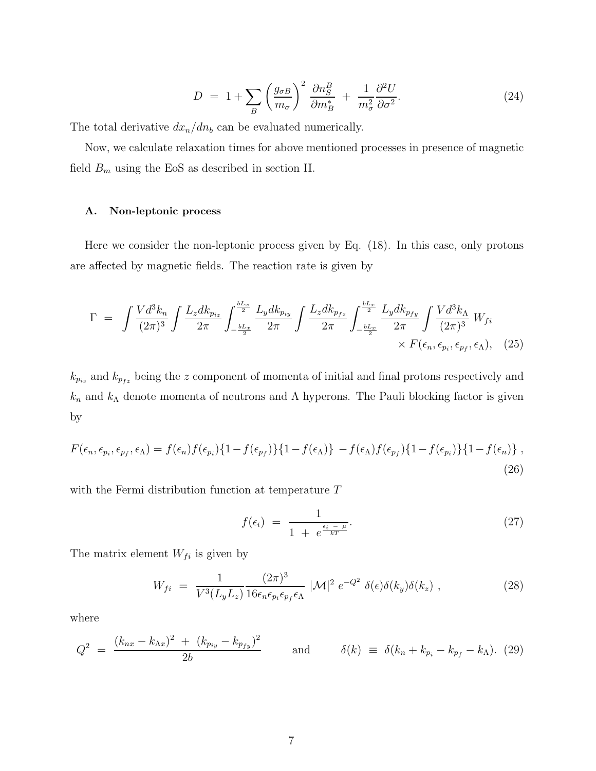$$
D = 1 + \sum_{B} \left(\frac{g_{\sigma B}}{m_{\sigma}}\right)^2 \frac{\partial n_S^B}{\partial m_B^*} + \frac{1}{m_{\sigma}^2} \frac{\partial^2 U}{\partial \sigma^2}.
$$
 (24)

The total derivative  $dx_n/dn_b$  can be evaluated numerically.

Now, we calculate relaxation times for above mentioned processes in presence of magnetic field  $B_m$  using the EoS as described in section II.

### A. Non-leptonic process

Here we consider the non-leptonic process given by Eq. (18). In this case, only protons are affected by magnetic fields. The reaction rate is given by

$$
\Gamma = \int \frac{V d^3 k_n}{(2\pi)^3} \int \frac{L_z dk_{p_{iz}}}{2\pi} \int_{-\frac{bL_x}{2}}^{\frac{bL_x}{2}} \frac{L_y dk_{p_{iy}}}{2\pi} \int \frac{L_z dk_{p_{fz}}}{2\pi} \int_{-\frac{bL_x}{2}}^{\frac{bL_x}{2}} \frac{L_y dk_{p_{fy}}}{2\pi} \int \frac{V d^3 k_\Lambda}{(2\pi)^3} W_{fi} \times F(\epsilon_n, \epsilon_{p_i}, \epsilon_{p_f}, \epsilon_\Lambda), \quad (25)
$$

 $k_{p_{iz}}$  and  $k_{p_{fz}}$  being the z component of momenta of initial and final protons respectively and  $k_n$  and  $k_\Lambda$  denote momenta of neutrons and  $\Lambda$  hyperons. The Pauli blocking factor is given by

$$
F(\epsilon_n, \epsilon_{p_i}, \epsilon_{p_f}, \epsilon_\Lambda) = f(\epsilon_n) f(\epsilon_{p_i}) \{1 - f(\epsilon_{p_f})\} \{1 - f(\epsilon_\Lambda)\} - f(\epsilon_\Lambda) f(\epsilon_{p_f}) \{1 - f(\epsilon_{p_i})\} \{1 - f(\epsilon_n)\},
$$
\n(26)

with the Fermi distribution function at temperature T

$$
f(\epsilon_i) = \frac{1}{1 + e^{\frac{\epsilon_i - \mu}{kT}}}.
$$
\n(27)

The matrix element  $W_{fi}$  is given by

$$
W_{fi} = \frac{1}{V^3(L_yL_z)} \frac{(2\pi)^3}{16\epsilon_n\epsilon_{p_i}\epsilon_{p_f}\epsilon_{\Lambda}} |\mathcal{M}|^2 e^{-Q^2} \delta(\epsilon)\delta(k_y)\delta(k_z) , \qquad (28)
$$

where

$$
Q^{2} = \frac{(k_{nx} - k_{\Lambda x})^{2} + (k_{p_{iy}} - k_{p_{fy}})^{2}}{2b} \quad \text{and} \quad \delta(k) \equiv \delta(k_{n} + k_{p_{i}} - k_{p_{f}} - k_{\Lambda}). \tag{29}
$$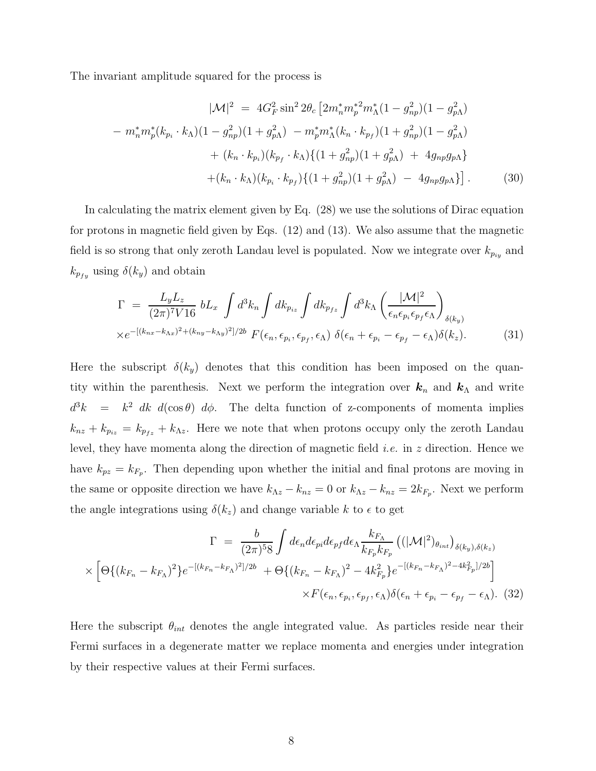The invariant amplitude squared for the process is

$$
|\mathcal{M}|^2 = 4G_F^2 \sin^2 2\theta_c \left[ 2m_n^* m_p^*^2 m_\Lambda^* (1 - g_{np}^2)(1 - g_{p\Lambda}^2) - m_n^* m_p^* (k_{p_i} \cdot k_\Lambda)(1 - g_{np}^2)(1 + g_{p\Lambda}^2) - m_p^* m_\Lambda^* (k_n \cdot k_{p_f})(1 + g_{np}^2)(1 - g_{p\Lambda}^2) + (k_n \cdot k_{p_i})(k_{p_f} \cdot k_\Lambda) \{ (1 + g_{np}^2)(1 + g_{p\Lambda}^2) + 4g_{np}g_{p\Lambda} \} + (k_n \cdot k_\Lambda)(k_{p_i} \cdot k_{p_f}) \{ (1 + g_{np}^2)(1 + g_{p\Lambda}^2) - 4g_{np}g_{p\Lambda} \} \right].
$$
 (30)

In calculating the matrix element given by Eq. (28) we use the solutions of Dirac equation for protons in magnetic field given by Eqs. (12) and (13). We also assume that the magnetic field is so strong that only zeroth Landau level is populated. Now we integrate over  $k_{p_{i_k}}$  and  $k_{p_{fy}}$  using  $\delta(k_y)$  and obtain

$$
\Gamma = \frac{L_y L_z}{(2\pi)^7 V 16} b L_x \int d^3k_n \int dk_{p_{iz}} \int dk_{p_{fz}} \int d^3k_n \left( \frac{|\mathcal{M}|^2}{\epsilon_n \epsilon_{p_i} \epsilon_{p_f} \epsilon_\Lambda} \right)_{\delta(k_y)}
$$
  
 
$$
\times e^{-[(k_{nx} - k_{\Lambda x})^2 + (k_{ny} - k_{\Lambda y})^2]/2b} F(\epsilon_n, \epsilon_{p_i}, \epsilon_{p_f}, \epsilon_\Lambda) \delta(\epsilon_n + \epsilon_{p_i} - \epsilon_{p_f} - \epsilon_\Lambda) \delta(k_z).
$$
 (31)

Here the subscript  $\delta(k_y)$  denotes that this condition has been imposed on the quantity within the parenthesis. Next we perform the integration over  $k_n$  and  $k_\Lambda$  and write  $d^3k = k^2 dk d(\cos \theta) d\phi$ . The delta function of z-components of momenta implies  $k_{nz} + k_{p_{iz}} = k_{p_{fz}} + k_{\Delta z}$ . Here we note that when protons occupy only the zeroth Landau level, they have momenta along the direction of magnetic field *i.e.* in z direction. Hence we have  $k_{pz} = k_{F_p}$ . Then depending upon whether the initial and final protons are moving in the same or opposite direction we have  $k_{\Lambda z} - k_{nz} = 0$  or  $k_{\Lambda z} - k_{nz} = 2k_{F_p}$ . Next we perform the angle integrations using  $\delta(k_z)$  and change variable k to  $\epsilon$  to get

$$
\Gamma = \frac{b}{(2\pi)^5 8} \int d\epsilon_n d\epsilon_{pi} d\epsilon_{pf} d\epsilon_{\Lambda} \frac{k_{F_{\Lambda}}}{k_{F_p} k_{F_p}} \left( (|\mathcal{M}|^2)_{\theta_{int}} \right)_{\delta(k_y), \delta(k_z)}
$$

$$
\times \left[ \Theta \{ (k_{F_n} - k_{F_{\Lambda}})^2 \} e^{-[(k_{F_n} - k_{F_{\Lambda}})^2]/2b} + \Theta \{ (k_{F_n} - k_{F_{\Lambda}})^2 - 4k_{F_p}^2 \} e^{-[(k_{F_n} - k_{F_{\Lambda}})^2 - 4k_{F_p}^2]/2b} \right]
$$

$$
\times F(\epsilon_n, \epsilon_{p_i}, \epsilon_{p_f}, \epsilon_{\Lambda}) \delta(\epsilon_n + \epsilon_{p_i} - \epsilon_{p_f} - \epsilon_{\Lambda}). \tag{32}
$$

Here the subscript  $\theta_{int}$  denotes the angle integrated value. As particles reside near their Fermi surfaces in a degenerate matter we replace momenta and energies under integration by their respective values at their Fermi surfaces.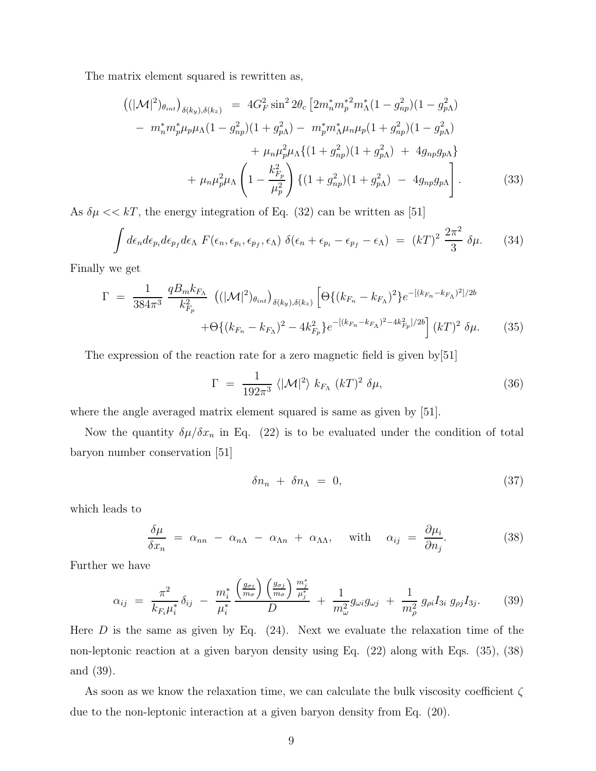The matrix element squared is rewritten as,

$$
\begin{split}\n\left( (|\mathcal{M}|^2)_{\theta_{int}} \right)_{\delta(k_y),\delta(k_z)} &= 4G_F^2 \sin^2 2\theta_c \left[ 2m_n^* m_p^*^2 m_\Lambda^* (1 - g_{np}^2)(1 - g_{p\Lambda}^2) \right. \\
&\left. - m_n^* m_p^* \mu_p \mu_\Lambda (1 - g_{np}^2)(1 + g_{p\Lambda}^2) - m_p^* m_\Lambda^* \mu_n \mu_p (1 + g_{np}^2)(1 - g_{p\Lambda}^2) \right. \\
&\left. + \mu_n \mu_p^2 \mu_\Lambda \left\{ (1 + g_{np}^2)(1 + g_{p\Lambda}^2) + 4g_{np}g_{p\Lambda} \right\} \right. \\
&\left. + \mu_n \mu_p^2 \mu_\Lambda \left( 1 - \frac{k_{F_p}^2}{\mu_p^2} \right) \left\{ (1 + g_{np}^2)(1 + g_{p\Lambda}^2) - 4g_{np}g_{p\Lambda} \right\}.\n\end{split} \tag{33}
$$

As  $\delta \mu \ll kT$ , the energy integration of Eq. (32) can be written as [51]

$$
\int d\epsilon_n d\epsilon_{p_i} d\epsilon_{p_f} d\epsilon_\Lambda \ F(\epsilon_n, \epsilon_{p_i}, \epsilon_{p_f}, \epsilon_\Lambda) \ \delta(\epsilon_n + \epsilon_{p_i} - \epsilon_{p_f} - \epsilon_\Lambda) \ = \ (kT)^2 \ \frac{2\pi^2}{3} \ \delta\mu. \tag{34}
$$

Finally we get

$$
\Gamma = \frac{1}{384\pi^3} \frac{qB_m k_{F_\Lambda}}{k_{F_p}^2} \left( (|\mathcal{M}|^2)_{\theta_{int}} \right)_{\delta(k_y),\delta(k_z)} \left[ \Theta \{ (k_{F_n} - k_{F_\Lambda})^2 \} e^{-[(k_{F_n} - k_{F_\Lambda})^2]/2b} + \Theta \{ (k_{F_n} - k_{F_\Lambda})^2 - 4k_{F_p}^2 \} e^{-[(k_{F_n} - k_{F_\Lambda})^2 - 4k_{F_p}^2]/2b} \right] (kT)^2 \delta \mu.
$$
 (35)

The expression of the reaction rate for a zero magnetic field is given by[51]

$$
\Gamma = \frac{1}{192\pi^3} \langle |\mathcal{M}|^2 \rangle k_{F_\Lambda} (kT)^2 \delta \mu, \tag{36}
$$

where the angle averaged matrix element squared is same as given by [51].

Now the quantity  $\delta\mu/\delta x_n$  in Eq. (22) is to be evaluated under the condition of total baryon number conservation [51]

$$
\delta n_n + \delta n_\Lambda = 0,\tag{37}
$$

which leads to

$$
\frac{\delta \mu}{\delta x_n} = \alpha_{nn} - \alpha_{n\Lambda} - \alpha_{\Lambda n} + \alpha_{\Lambda \Lambda}, \quad \text{with} \quad \alpha_{ij} = \frac{\partial \mu_i}{\partial n_j}.
$$
 (38)

Further we have

$$
\alpha_{ij} = \frac{\pi^2}{k_{F_i}\mu_i^*} \delta_{ij} - \frac{m_i^*}{\mu_i^*} \frac{\left(\frac{g_{\sigma i}}{m_{\sigma}}\right)\left(\frac{g_{\sigma j}}{m_{\sigma}}\right)\frac{m_j^*}{\mu_j^*}}{D} + \frac{1}{m_{\omega}^2} g_{\omega i} g_{\omega j} + \frac{1}{m_{\rho}^2} g_{\rho i} I_{3i} g_{\rho j} I_{3j}.
$$
 (39)

Here  $D$  is the same as given by Eq.  $(24)$ . Next we evaluate the relaxation time of the non-leptonic reaction at a given baryon density using Eq. (22) along with Eqs. (35), (38) and (39).

As soon as we know the relaxation time, we can calculate the bulk viscosity coefficient  $\zeta$ due to the non-leptonic interaction at a given baryon density from Eq. (20).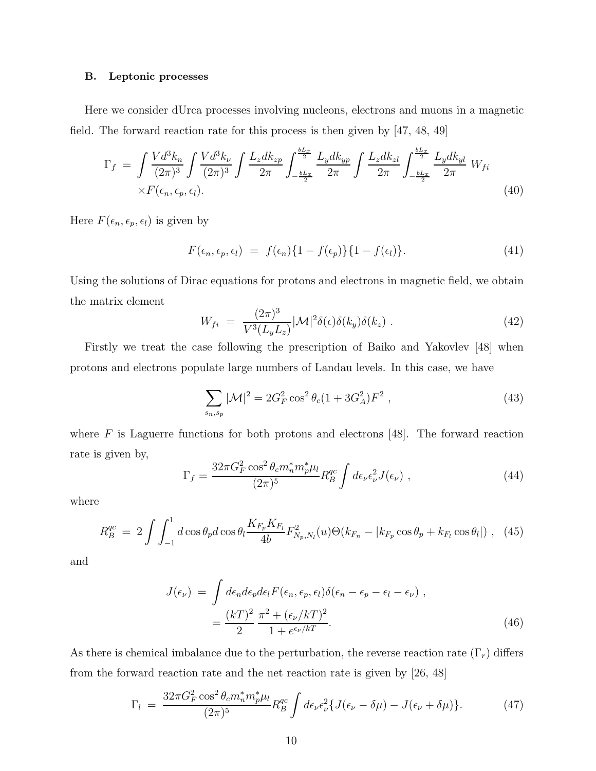#### B. Leptonic processes

Here we consider dUrca processes involving nucleons, electrons and muons in a magnetic field. The forward reaction rate for this process is then given by [47, 48, 49]

$$
\Gamma_{f} = \int \frac{V d^{3} k_{n}}{(2\pi)^{3}} \int \frac{V d^{3} k_{\nu}}{(2\pi)^{3}} \int \frac{L_{z} dk_{zp}}{2\pi} \int_{-\frac{bL_{x}}{2}}^{\frac{bL_{x}}{2}} \frac{L_{y} dk_{yp}}{2\pi} \int \frac{L_{z} dk_{zl}}{2\pi} \int_{-\frac{bL_{x}}{2}}^{\frac{bL_{x}}{2}} \frac{L_{y} dk_{yl}}{2\pi} W_{fi}
$$
\n
$$
\times F(\epsilon_{n}, \epsilon_{p}, \epsilon_{l}). \tag{40}
$$

Here  $F(\epsilon_n, \epsilon_p, \epsilon_l)$  is given by

$$
F(\epsilon_n, \epsilon_p, \epsilon_l) = f(\epsilon_n) \{1 - f(\epsilon_p)\} \{1 - f(\epsilon_l)\}.
$$
\n(41)

Using the solutions of Dirac equations for protons and electrons in magnetic field, we obtain the matrix element

$$
W_{fi} = \frac{(2\pi)^3}{V^3(L_yL_z)} |\mathcal{M}|^2 \delta(\epsilon) \delta(k_y) \delta(k_z) . \tag{42}
$$

Firstly we treat the case following the prescription of Baiko and Yakovlev [48] when protons and electrons populate large numbers of Landau levels. In this case, we have

$$
\sum_{s_n, s_p} |\mathcal{M}|^2 = 2G_F^2 \cos^2 \theta_c (1 + 3G_A^2) F^2 , \qquad (43)
$$

where  $F$  is Laguerre functions for both protons and electrons [48]. The forward reaction rate is given by,

$$
\Gamma_f = \frac{32\pi G_F^2 \cos^2 \theta_c m_n^* m_p^* \mu_l}{(2\pi)^5} R_B^{qc} \int d\epsilon_\nu \epsilon_\nu^2 J(\epsilon_\nu) , \qquad (44)
$$

where

$$
R_B^{qc} = 2 \int \int_{-1}^1 d\cos\theta_p d\cos\theta_l \frac{K_{F_p} K_{F_l}}{4b} F_{N_p, N_l}^2(u) \Theta(k_{F_n} - |k_{F_p} \cos\theta_p + k_{F_l} \cos\theta_l|) , \tag{45}
$$

and

$$
J(\epsilon_{\nu}) = \int d\epsilon_n d\epsilon_p d\epsilon_l F(\epsilon_n, \epsilon_p, \epsilon_l) \delta(\epsilon_n - \epsilon_p - \epsilon_l - \epsilon_{\nu}),
$$
  
= 
$$
\frac{(kT)^2}{2} \frac{\pi^2 + (\epsilon_{\nu}/kT)^2}{1 + e^{\epsilon_{\nu}/kT}}.
$$
 (46)

As there is chemical imbalance due to the perturbation, the reverse reaction rate  $(\Gamma_r)$  differs from the forward reaction rate and the net reaction rate is given by [26, 48]

$$
\Gamma_l = \frac{32\pi G_F^2 \cos^2 \theta_c m_n^* m_p^* \mu_l}{(2\pi)^5} R_B^{qc} \int d\epsilon_\nu \epsilon_\nu^2 \{ J(\epsilon_\nu - \delta \mu) - J(\epsilon_\nu + \delta \mu) \}.
$$
 (47)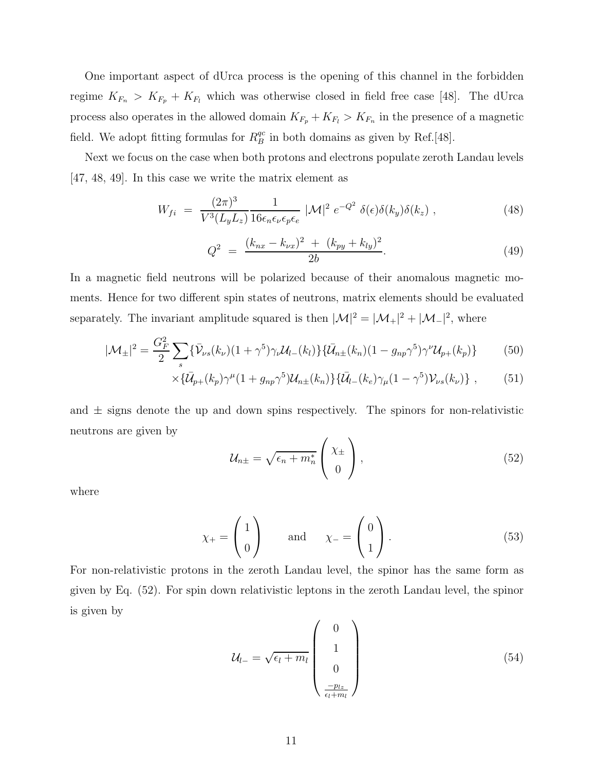One important aspect of dUrca process is the opening of this channel in the forbidden regime  $K_{F_n} > K_{F_p} + K_{F_l}$  which was otherwise closed in field free case [48]. The dUrca process also operates in the allowed domain  $K_{F_p} + K_{F_l} > K_{F_n}$  in the presence of a magnetic field. We adopt fitting formulas for  $R_B^{qc}$  $\frac{qc}{B}$  in both domains as given by Ref.[48].

Next we focus on the case when both protons and electrons populate zeroth Landau levels [47, 48, 49]. In this case we write the matrix element as

$$
W_{fi} = \frac{(2\pi)^3}{V^3(L_yL_z)} \frac{1}{16\epsilon_n\epsilon_\nu\epsilon_p\epsilon_e} |\mathcal{M}|^2 e^{-Q^2} \delta(\epsilon)\delta(k_y)\delta(k_z) , \qquad (48)
$$

$$
Q^{2} = \frac{(k_{nx} - k_{\nu x})^{2} + (k_{py} + k_{ly})^{2}}{2b}.
$$
\n(49)

In a magnetic field neutrons will be polarized because of their anomalous magnetic moments. Hence for two different spin states of neutrons, matrix elements should be evaluated separately. The invariant amplitude squared is then  $|\mathcal{M}|^2 = |\mathcal{M}_+|^2 + |\mathcal{M}_-|^2$ , where

$$
|\mathcal{M}_{\pm}|^2 = \frac{G_F^2}{2} \sum_s \{ \bar{\mathcal{V}}_{\nu s}(k_{\nu})(1+\gamma^5) \gamma_{\nu} \mathcal{U}_{l-}(k_l) \} \{ \bar{\mathcal{U}}_{n\pm}(k_n)(1-g_{np}\gamma^5) \gamma^{\nu} \mathcal{U}_{p+}(k_p) \}
$$
(50)

$$
\times \{\bar{\mathcal{U}}_{p+}(k_p)\gamma^{\mu}(1+g_{np}\gamma^5)\mathcal{U}_{n\pm}(k_n)\}\{\bar{\mathcal{U}}_{l-}(k_e)\gamma_{\mu}(1-\gamma^5)\mathcal{V}_{\nu s}(k_{\nu})\}\,,\tag{51}
$$

and  $\pm$  signs denote the up and down spins respectively. The spinors for non-relativistic neutrons are given by

$$
\mathcal{U}_{n\pm} = \sqrt{\epsilon_n + m_n^*} \begin{pmatrix} \chi_{\pm} \\ 0 \end{pmatrix}, \tag{52}
$$

where

$$
\chi_{+} = \begin{pmatrix} 1 \\ 0 \end{pmatrix} \quad \text{and} \quad \chi_{-} = \begin{pmatrix} 0 \\ 1 \end{pmatrix}.
$$
 (53)

For non-relativistic protons in the zeroth Landau level, the spinor has the same form as given by Eq. (52). For spin down relativistic leptons in the zeroth Landau level, the spinor is given by

$$
\mathcal{U}_{l-} = \sqrt{\epsilon_l + m_l} \begin{pmatrix} 0 \\ 1 \\ 0 \\ \frac{-p_{lz}}{\epsilon_l + m_l} \end{pmatrix}
$$
 (54)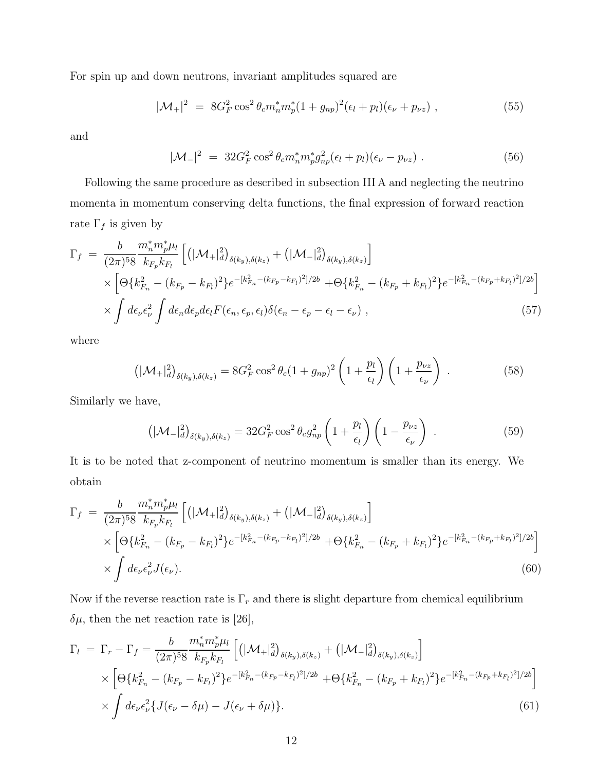For spin up and down neutrons, invariant amplitudes squared are

$$
|\mathcal{M}_+|^2 = 8G_F^2 \cos^2 \theta_c m_n^* m_p^* (1 + g_{np})^2 (\epsilon_l + p_l)(\epsilon_\nu + p_{\nu z}), \qquad (55)
$$

and

$$
|\mathcal{M}_{-}|^{2} = 32G_{F}^{2}\cos^{2}\theta_{c}m_{n}^{*}m_{p}^{*}g_{np}^{2}(\epsilon_{l}+p_{l})(\epsilon_{\nu}-p_{\nu z})
$$
 (56)

Following the same procedure as described in subsection III A and neglecting the neutrino momenta in momentum conserving delta functions, the final expression of forward reaction rate  $\Gamma_f$  is given by

$$
\Gamma_{f} = \frac{b}{(2\pi)^{5}8} \frac{m_{n}^{*}m_{p}^{*}\mu_{l}}{k_{F_{p}}k_{F_{l}}} \left[ \left( |\mathcal{M}_{+}|_{d}^{2} \right)_{\delta(k_{y}),\delta(k_{z})} + \left( |\mathcal{M}_{-}|_{d}^{2} \right)_{\delta(k_{y}),\delta(k_{z})} \right] \times \left[ \Theta\{k_{F_{n}}^{2} - (k_{F_{p}} - k_{F_{l}})^{2}\} e^{-[k_{F_{n}}^{2} - (k_{F_{p}} - k_{F_{l}})^{2}]/2b} + \Theta\{k_{F_{n}}^{2} - (k_{F_{p}} + k_{F_{l}})^{2}\} e^{-[k_{F_{n}}^{2} - (k_{F_{p}} + k_{F_{l}})^{2}]/2b} \right] \times \int d\epsilon_{\nu} \epsilon_{\nu}^{2} \int d\epsilon_{n} d\epsilon_{p} d\epsilon_{l} F(\epsilon_{n}, \epsilon_{p}, \epsilon_{l}) \delta(\epsilon_{n} - \epsilon_{p} - \epsilon_{l} - \epsilon_{\nu}) , \qquad (57)
$$

where

$$
\left(|\mathcal{M}_{+}|_{d}^{2}\right)_{\delta(k_{y}),\delta(k_{z})} = 8G_{F}^{2}\cos^{2}\theta_{c}(1+g_{np})^{2}\left(1+\frac{p_{l}}{\epsilon_{l}}\right)\left(1+\frac{p_{\nu z}}{\epsilon_{\nu}}\right) \ . \tag{58}
$$

Similarly we have,

$$
\left(|\mathcal{M}_-|_d^2\right)_{\delta(k_y),\delta(k_z)} = 32G_F^2 \cos^2\theta_c g_{np}^2 \left(1 + \frac{p_l}{\epsilon_l}\right) \left(1 - \frac{p_{\nu z}}{\epsilon_{\nu}}\right) \tag{59}
$$

It is to be noted that z-component of neutrino momentum is smaller than its energy. We obtain

$$
\Gamma_{f} = \frac{b}{(2\pi)^{5}8} \frac{m_{n}^{*}m_{p}^{*}\mu_{l}}{k_{F_{p}}k_{F_{l}}} \left[ \left( |\mathcal{M}_{+}|_{d}^{2} \right)_{\delta(k_{y}),\delta(k_{z})} + \left( |\mathcal{M}_{-}|_{d}^{2} \right)_{\delta(k_{y}),\delta(k_{z})} \right] \times \left[ \Theta\{k_{F_{n}}^{2} - (k_{F_{p}} - k_{F_{l}})^{2}\} e^{-[k_{F_{n}}^{2} - (k_{F_{p}} - k_{F_{l}})^{2}]/2b} + \Theta\{k_{F_{n}}^{2} - (k_{F_{p}} + k_{F_{l}})^{2}\} e^{-[k_{F_{n}}^{2} - (k_{F_{p}} + k_{F_{l}})^{2}]/2b} \right] \times \int d\epsilon_{\nu} \epsilon_{\nu}^{2} J(\epsilon_{\nu}). \tag{60}
$$

Now if the reverse reaction rate is  $\Gamma_r$  and there is slight departure from chemical equilibrium  $\delta\mu$ , then the net reaction rate is [26],

$$
\Gamma_{l} = \Gamma_{r} - \Gamma_{f} = \frac{b}{(2\pi)^{5}8} \frac{m_{n}^{*}m_{p}^{*}\mu_{l}}{k_{F_{p}}k_{F_{l}}} \left[ \left( |\mathcal{M}_{+}|_{d}^{2} \right)_{\delta(k_{y}),\delta(k_{z})} + \left( |\mathcal{M}_{-}|_{d}^{2} \right)_{\delta(k_{y}),\delta(k_{z})} \right] \times \left[ \Theta\{k_{F_{n}}^{2} - (k_{F_{p}} - k_{F_{l}})^{2}\} e^{-[k_{F_{n}}^{2} - (k_{F_{p}} - k_{F_{l}})^{2}]/2b} + \Theta\{k_{F_{n}}^{2} - (k_{F_{p}} + k_{F_{l}})^{2}\} e^{-[k_{F_{n}}^{2} - (k_{F_{p}} + k_{F_{l}})^{2}]/2b} \right] \times \int d\epsilon_{\nu} \epsilon_{\nu}^{2} \{ J(\epsilon_{\nu} - \delta\mu) - J(\epsilon_{\nu} + \delta\mu) \}.
$$
\n(61)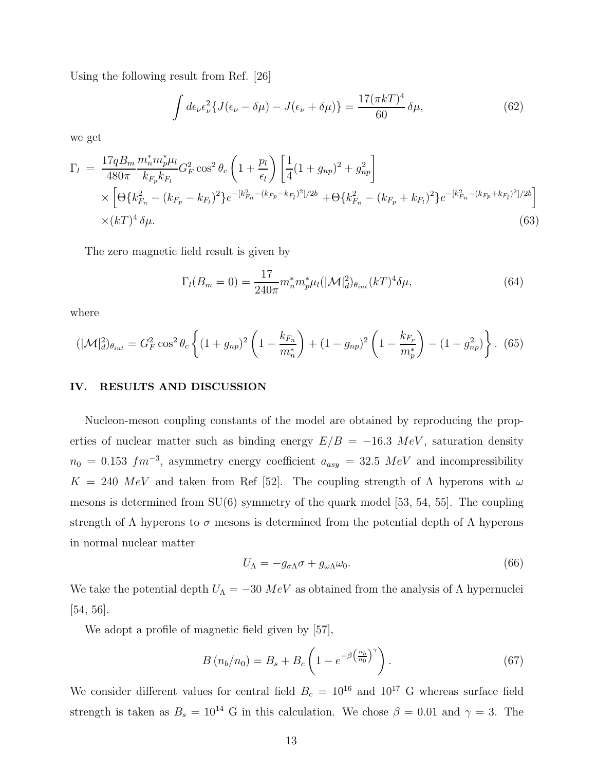Using the following result from Ref. [26]

$$
\int d\epsilon_{\nu} \epsilon_{\nu}^{2} \{ J(\epsilon_{\nu} - \delta \mu) - J(\epsilon_{\nu} + \delta \mu) \} = \frac{17(\pi kT)^{4}}{60} \delta \mu,
$$
\n(62)

we get

$$
\Gamma_{l} = \frac{17qB_{m}}{480\pi} \frac{m_{n}^{*}m_{p}^{*}\mu_{l}}{k_{F_{p}}k_{F_{l}}} G_{F}^{2} \cos^{2} \theta_{c} \left(1 + \frac{p_{l}}{\epsilon_{l}}\right) \left[\frac{1}{4}(1 + g_{np})^{2} + g_{np}^{2}\right] \times \left[\Theta\{k_{F_{n}}^{2} - (k_{F_{p}} - k_{F_{l}})^{2}\} e^{-\left[k_{F_{n}}^{2} - (k_{F_{p}} - k_{F_{l}})^{2}\right]/2b} + \Theta\{k_{F_{n}}^{2} - (k_{F_{p}} + k_{F_{l}})^{2}\} e^{-\left[k_{F_{n}}^{2} - (k_{F_{p}} + k_{F_{l}})^{2}\right]/2b}\right] \times (kT)^{4} \delta\mu.
$$
\n(63)

The zero magnetic field result is given by

$$
\Gamma_l(B_m = 0) = \frac{17}{240\pi} m_n^* m_p^* \mu_l(|\mathcal{M}|_d^2)_{\theta_{int}}(kT)^4 \delta \mu,
$$
\n(64)

where

$$
(|\mathcal{M}|_d^2)_{\theta_{int}} = G_F^2 \cos^2 \theta_c \left\{ (1 + g_{np})^2 \left( 1 - \frac{k_{F_n}}{m_n^*} \right) + (1 - g_{np})^2 \left( 1 - \frac{k_{F_p}}{m_p^*} \right) - (1 - g_{np}^2) \right\}.
$$
 (65)

## IV. RESULTS AND DISCUSSION

Nucleon-meson coupling constants of the model are obtained by reproducing the properties of nuclear matter such as binding energy  $E/B = -16.3 \; MeV$ , saturation density  $n_0 = 0.153$   $fm^{-3}$ , asymmetry energy coefficient  $a_{asy} = 32.5$  MeV and incompressibility  $K = 240 \; MeV$  and taken from Ref [52]. The coupling strength of  $\Lambda$  hyperons with  $\omega$ mesons is determined from  $SU(6)$  symmetry of the quark model [53, 54, 55]. The coupling strength of  $\Lambda$  hyperons to  $\sigma$  mesons is determined from the potential depth of  $\Lambda$  hyperons in normal nuclear matter

$$
U_{\Lambda} = -g_{\sigma\Lambda}\sigma + g_{\omega\Lambda}\omega_0. \tag{66}
$$

We take the potential depth  $U_{\Lambda} = -30 \; MeV$  as obtained from the analysis of  $\Lambda$  hypernuclei [54, 56].

We adopt a profile of magnetic field given by [57],

$$
B\left(n_b/n_0\right) = B_s + B_c \left(1 - e^{-\beta \left(\frac{n_b}{n_0}\right)^{\gamma}}\right). \tag{67}
$$

We consider different values for central field  $B_c = 10^{16}$  and  $10^{17}$  G whereas surface field strength is taken as  $B_s = 10^{14}$  G in this calculation. We chose  $\beta = 0.01$  and  $\gamma = 3$ . The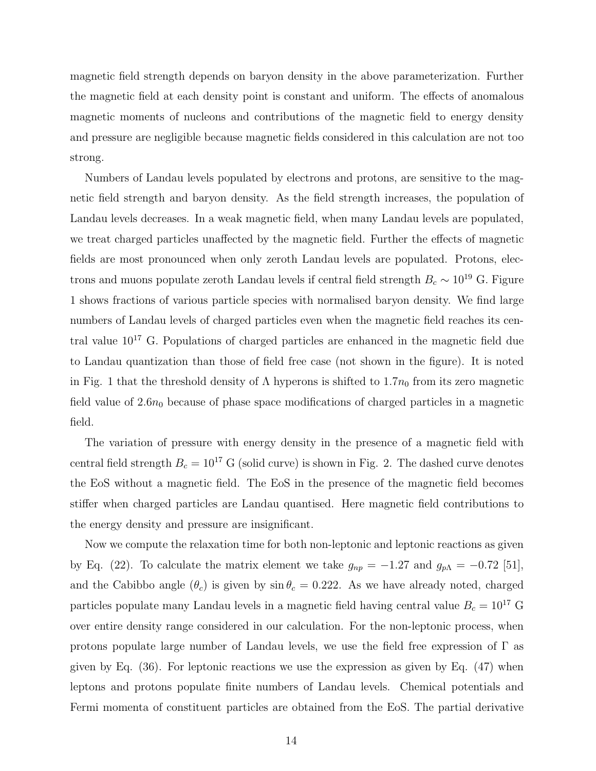magnetic field strength depends on baryon density in the above parameterization. Further the magnetic field at each density point is constant and uniform. The effects of anomalous magnetic moments of nucleons and contributions of the magnetic field to energy density and pressure are negligible because magnetic fields considered in this calculation are not too strong.

Numbers of Landau levels populated by electrons and protons, are sensitive to the magnetic field strength and baryon density. As the field strength increases, the population of Landau levels decreases. In a weak magnetic field, when many Landau levels are populated, we treat charged particles unaffected by the magnetic field. Further the effects of magnetic fields are most pronounced when only zeroth Landau levels are populated. Protons, electrons and muons populate zeroth Landau levels if central field strength  $B_c \sim 10^{19}$  G. Figure 1 shows fractions of various particle species with normalised baryon density. We find large numbers of Landau levels of charged particles even when the magnetic field reaches its central value  $10^{17}$  G. Populations of charged particles are enhanced in the magnetic field due to Landau quantization than those of field free case (not shown in the figure). It is noted in Fig. 1 that the threshold density of  $\Lambda$  hyperons is shifted to  $1.7n_0$  from its zero magnetic field value of  $2.6n_0$  because of phase space modifications of charged particles in a magnetic field.

The variation of pressure with energy density in the presence of a magnetic field with central field strength  $B_c = 10^{17}$  G (solid curve) is shown in Fig. 2. The dashed curve denotes the EoS without a magnetic field. The EoS in the presence of the magnetic field becomes stiffer when charged particles are Landau quantised. Here magnetic field contributions to the energy density and pressure are insignificant.

Now we compute the relaxation time for both non-leptonic and leptonic reactions as given by Eq. (22). To calculate the matrix element we take  $g_{np} = -1.27$  and  $g_{p\Lambda} = -0.72$  [51], and the Cabibbo angle  $(\theta_c)$  is given by  $\sin \theta_c = 0.222$ . As we have already noted, charged particles populate many Landau levels in a magnetic field having central value  $B_c = 10^{17}$  G over entire density range considered in our calculation. For the non-leptonic process, when protons populate large number of Landau levels, we use the field free expression of Γ as given by Eq. (36). For leptonic reactions we use the expression as given by Eq. (47) when leptons and protons populate finite numbers of Landau levels. Chemical potentials and Fermi momenta of constituent particles are obtained from the EoS. The partial derivative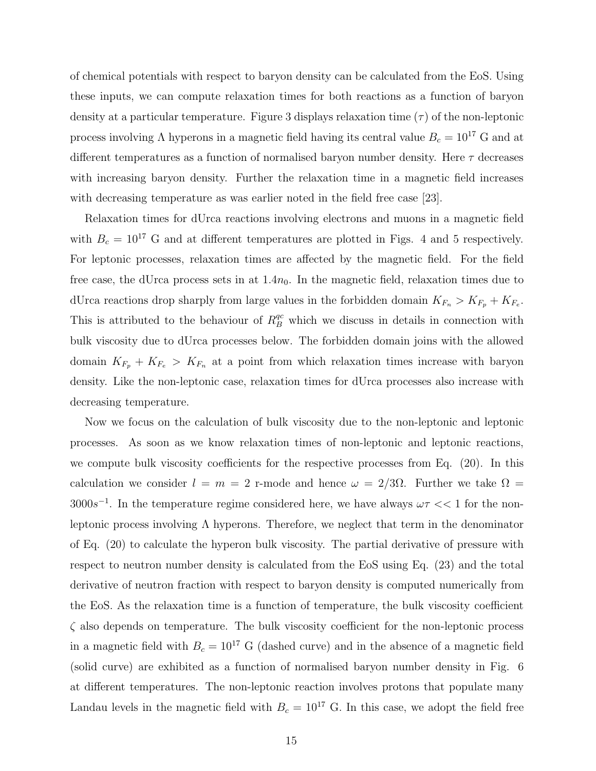of chemical potentials with respect to baryon density can be calculated from the EoS. Using these inputs, we can compute relaxation times for both reactions as a function of baryon density at a particular temperature. Figure 3 displays relaxation time  $(\tau)$  of the non-leptonic process involving  $\Lambda$  hyperons in a magnetic field having its central value  $B_c = 10^{17}$  G and at different temperatures as a function of normalised baryon number density. Here  $\tau$  decreases with increasing baryon density. Further the relaxation time in a magnetic field increases with decreasing temperature as was earlier noted in the field free case [23].

Relaxation times for dUrca reactions involving electrons and muons in a magnetic field with  $B_c = 10^{17}$  G and at different temperatures are plotted in Figs. 4 and 5 respectively. For leptonic processes, relaxation times are affected by the magnetic field. For the field free case, the dUrca process sets in at  $1.4n_0$ . In the magnetic field, relaxation times due to dUrca reactions drop sharply from large values in the forbidden domain  $K_{F_n} > K_{F_p} + K_{F_e}$ . This is attributed to the behaviour of  $R_B^{qc}$  which we discuss in details in connection with bulk viscosity due to dUrca processes below. The forbidden domain joins with the allowed domain  $K_{F_p} + K_{F_e} > K_{F_n}$  at a point from which relaxation times increase with baryon density. Like the non-leptonic case, relaxation times for dUrca processes also increase with decreasing temperature.

Now we focus on the calculation of bulk viscosity due to the non-leptonic and leptonic processes. As soon as we know relaxation times of non-leptonic and leptonic reactions, we compute bulk viscosity coefficients for the respective processes from Eq. (20). In this calculation we consider  $l = m = 2$  r-mode and hence  $\omega = 2/3\Omega$ . Further we take  $\Omega =$  $3000s^{-1}$ . In the temperature regime considered here, we have always  $\omega \tau << 1$  for the nonleptonic process involving  $\Lambda$  hyperons. Therefore, we neglect that term in the denominator of Eq. (20) to calculate the hyperon bulk viscosity. The partial derivative of pressure with respect to neutron number density is calculated from the EoS using Eq. (23) and the total derivative of neutron fraction with respect to baryon density is computed numerically from the EoS. As the relaxation time is a function of temperature, the bulk viscosity coefficient  $\zeta$  also depends on temperature. The bulk viscosity coefficient for the non-leptonic process in a magnetic field with  $B_c = 10^{17}$  G (dashed curve) and in the absence of a magnetic field (solid curve) are exhibited as a function of normalised baryon number density in Fig. 6 at different temperatures. The non-leptonic reaction involves protons that populate many Landau levels in the magnetic field with  $B_c = 10^{17}$  G. In this case, we adopt the field free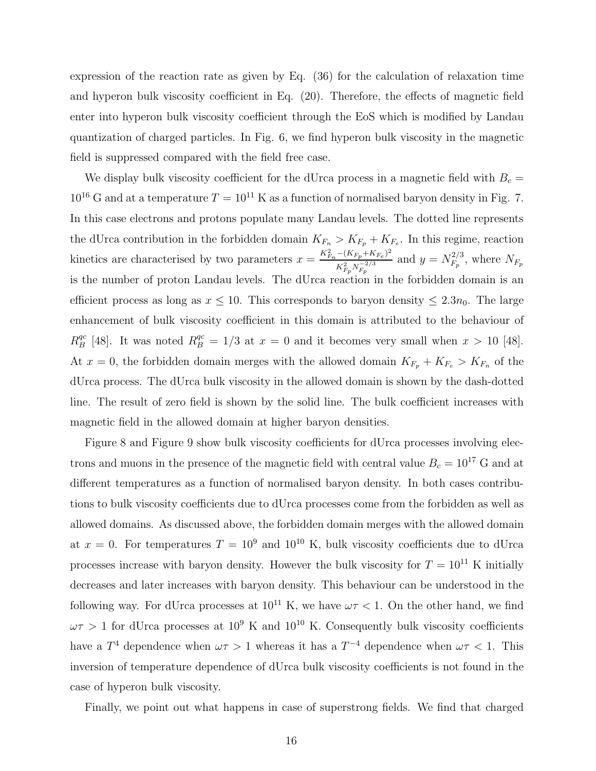expression of the reaction rate as given by Eq. (36) for the calculation of relaxation time and hyperon bulk viscosity coefficient in Eq. (20). Therefore, the effects of magnetic field enter into hyperon bulk viscosity coefficient through the EoS which is modified by Landau quantization of charged particles. In Fig. 6, we find hyperon bulk viscosity in the magnetic field is suppressed compared with the field free case.

We display bulk viscosity coefficient for the dUrca process in a magnetic field with  $B_c =$  $10^{16}$  G and at a temperature  $T = 10^{11}$  K as a function of normalised baryon density in Fig. 7. In this case electrons and protons populate many Landau levels. The dotted line represents the dUrca contribution in the forbidden domain  $K_{F_n} > K_{F_p} + K_{F_e}$ . In this regime, reaction kinetics are characterised by two parameters  $x = \frac{K_{F_n}^2 - (K_{F_p} + K_{F_e})^2}{K_{F_n}^2 - K_{F_e}^2}$  $K_{F_p}^2 N_{F_p}^{-2/3}$ and  $y = N_{F_n}^{2/3}$  $F_p^{2/3}$ , where  $N_{F_p}$ is the number of proton Landau levels. The dUrca reaction in the forbidden domain is an efficient process as long as  $x \leq 10$ . This corresponds to baryon density  $\leq 2.3n_0$ . The large enhancement of bulk viscosity coefficient in this domain is attributed to the behaviour of  $R_R^{qc}$ <sup>qc</sup> [48]. It was noted  $R_B^{qc} = 1/3$  at  $x = 0$  and it becomes very small when  $x > 10$  [48]. At  $x = 0$ , the forbidden domain merges with the allowed domain  $K_{F_p} + K_{F_e} > K_{F_n}$  of the dUrca process. The dUrca bulk viscosity in the allowed domain is shown by the dash-dotted line. The result of zero field is shown by the solid line. The bulk coefficient increases with magnetic field in the allowed domain at higher baryon densities.

Figure 8 and Figure 9 show bulk viscosity coefficients for dUrca processes involving electrons and muons in the presence of the magnetic field with central value  $B_c = 10^{17}$  G and at different temperatures as a function of normalised baryon density. In both cases contributions to bulk viscosity coefficients due to dUrca processes come from the forbidden as well as allowed domains. As discussed above, the forbidden domain merges with the allowed domain at  $x = 0$ . For temperatures  $T = 10^9$  and  $10^{10}$  K, bulk viscosity coefficients due to dUrca processes increase with baryon density. However the bulk viscosity for  $T = 10^{11}$  K initially decreases and later increases with baryon density. This behaviour can be understood in the following way. For dUrca processes at  $10^{11}$  K, we have  $\omega \tau < 1$ . On the other hand, we find  $\omega \tau > 1$  for dUrca processes at 10<sup>9</sup> K and 10<sup>10</sup> K. Consequently bulk viscosity coefficients have a  $T^4$  dependence when  $\omega \tau > 1$  whereas it has a  $T^{-4}$  dependence when  $\omega \tau < 1$ . This inversion of temperature dependence of dUrca bulk viscosity coefficients is not found in the case of hyperon bulk viscosity.

Finally, we point out what happens in case of superstrong fields. We find that charged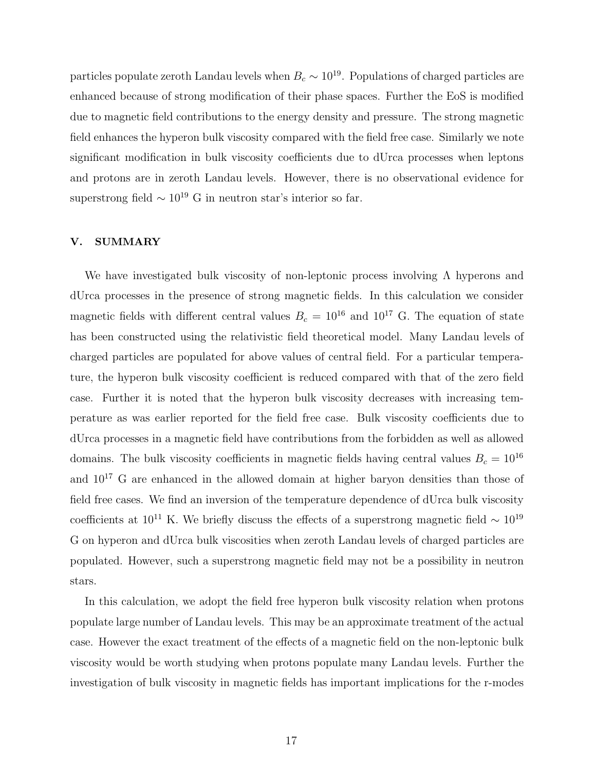particles populate zeroth Landau levels when  $B_c \sim 10^{19}$ . Populations of charged particles are enhanced because of strong modification of their phase spaces. Further the EoS is modified due to magnetic field contributions to the energy density and pressure. The strong magnetic field enhances the hyperon bulk viscosity compared with the field free case. Similarly we note significant modification in bulk viscosity coefficients due to dUrca processes when leptons and protons are in zeroth Landau levels. However, there is no observational evidence for superstrong field  $\sim 10^{19}$  G in neutron star's interior so far.

### V. SUMMARY

We have investigated bulk viscosity of non-leptonic process involving  $\Lambda$  hyperons and dUrca processes in the presence of strong magnetic fields. In this calculation we consider magnetic fields with different central values  $B_c = 10^{16}$  and  $10^{17}$  G. The equation of state has been constructed using the relativistic field theoretical model. Many Landau levels of charged particles are populated for above values of central field. For a particular temperature, the hyperon bulk viscosity coefficient is reduced compared with that of the zero field case. Further it is noted that the hyperon bulk viscosity decreases with increasing temperature as was earlier reported for the field free case. Bulk viscosity coefficients due to dUrca processes in a magnetic field have contributions from the forbidden as well as allowed domains. The bulk viscosity coefficients in magnetic fields having central values  $B_c = 10^{16}$ and 10<sup>17</sup> G are enhanced in the allowed domain at higher baryon densities than those of field free cases. We find an inversion of the temperature dependence of dUrca bulk viscosity coefficients at  $10^{11}$  K. We briefly discuss the effects of a superstrong magnetic field  $\sim 10^{19}$ G on hyperon and dUrca bulk viscosities when zeroth Landau levels of charged particles are populated. However, such a superstrong magnetic field may not be a possibility in neutron stars.

In this calculation, we adopt the field free hyperon bulk viscosity relation when protons populate large number of Landau levels. This may be an approximate treatment of the actual case. However the exact treatment of the effects of a magnetic field on the non-leptonic bulk viscosity would be worth studying when protons populate many Landau levels. Further the investigation of bulk viscosity in magnetic fields has important implications for the r-modes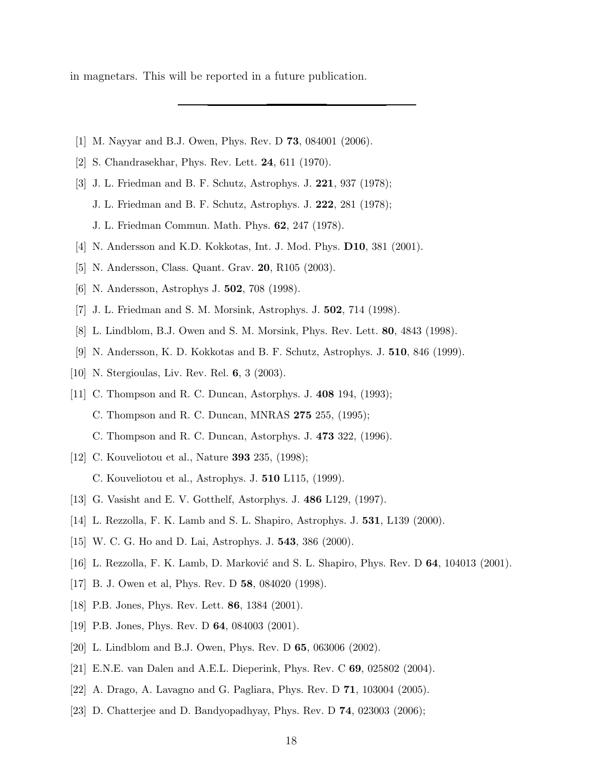in magnetars. This will be reported in a future publication.

- [1] M. Nayyar and B.J. Owen, Phys. Rev. D 73, 084001 (2006).
- [2] S. Chandrasekhar, Phys. Rev. Lett. 24, 611 (1970).
- [3] J. L. Friedman and B. F. Schutz, Astrophys. J. 221, 937 (1978);
	- J. L. Friedman and B. F. Schutz, Astrophys. J. 222, 281 (1978);

J. L. Friedman Commun. Math. Phys. 62, 247 (1978).

- [4] N. Andersson and K.D. Kokkotas, Int. J. Mod. Phys. D10, 381 (2001).
- [5] N. Andersson, Class. Quant. Grav. 20, R105 (2003).
- [6] N. Andersson, Astrophys J. 502, 708 (1998).
- [7] J. L. Friedman and S. M. Morsink, Astrophys. J. 502, 714 (1998).
- [8] L. Lindblom, B.J. Owen and S. M. Morsink, Phys. Rev. Lett. 80, 4843 (1998).
- [9] N. Andersson, K. D. Kokkotas and B. F. Schutz, Astrophys. J. 510, 846 (1999).
- [10] N. Stergioulas, Liv. Rev. Rel. 6, 3 (2003).
- [11] C. Thompson and R. C. Duncan, Astorphys. J. 408 194, (1993); C. Thompson and R. C. Duncan, MNRAS 275 255, (1995); C. Thompson and R. C. Duncan, Astorphys. J. 473 322, (1996).
- [12] C. Kouveliotou et al., Nature **393** 235, (1998); C. Kouveliotou et al., Astrophys. J. 510 L115, (1999).
- [13] G. Vasisht and E. V. Gotthelf, Astorphys. J. 486 L129, (1997).
- [14] L. Rezzolla, F. K. Lamb and S. L. Shapiro, Astrophys. J. 531, L139 (2000).
- [15] W. C. G. Ho and D. Lai, Astrophys. J. 543, 386 (2000).
- [16] L. Rezzolla, F. K. Lamb, D. Marković and S. L. Shapiro, Phys. Rev. D 64, 104013 (2001).
- [17] B. J. Owen et al, Phys. Rev. D 58, 084020 (1998).
- [18] P.B. Jones, Phys. Rev. Lett. 86, 1384 (2001).
- [19] P.B. Jones, Phys. Rev. D **64**, 084003 (2001).
- [20] L. Lindblom and B.J. Owen, Phys. Rev. D 65, 063006 (2002).
- [21] E.N.E. van Dalen and A.E.L. Dieperink, Phys. Rev. C 69, 025802 (2004).
- [22] A. Drago, A. Lavagno and G. Pagliara, Phys. Rev. D 71, 103004 (2005).
- [23] D. Chatterjee and D. Bandyopadhyay, Phys. Rev. D 74, 023003 (2006);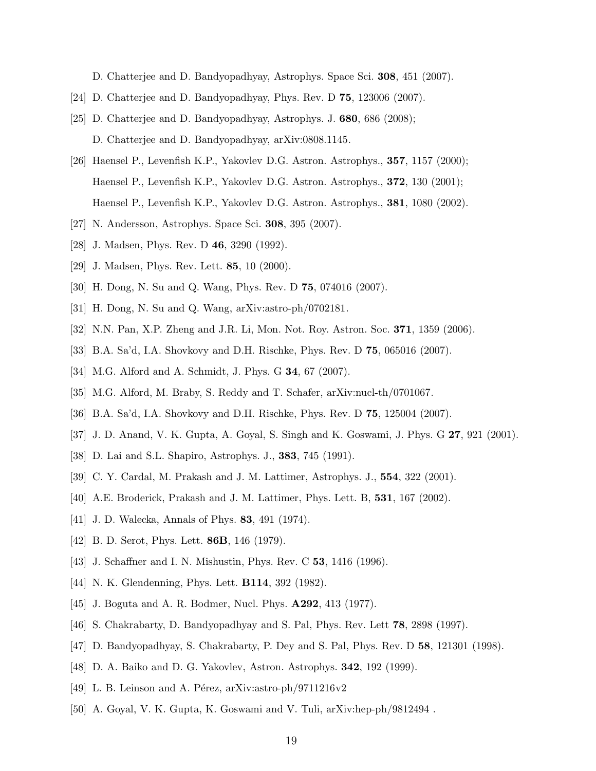D. Chatterjee and D. Bandyopadhyay, Astrophys. Space Sci. 308, 451 (2007).

- [24] D. Chatterjee and D. Bandyopadhyay, Phys. Rev. D 75, 123006 (2007).
- [25] D. Chatterjee and D. Bandyopadhyay, Astrophys. J. 680, 686 (2008); D. Chatterjee and D. Bandyopadhyay, arXiv:0808.1145.
- [26] Haensel P., Levenfish K.P., Yakovlev D.G. Astron. Astrophys., 357, 1157 (2000); Haensel P., Levenfish K.P., Yakovlev D.G. Astron. Astrophys., 372, 130 (2001); Haensel P., Levenfish K.P., Yakovlev D.G. Astron. Astrophys., 381, 1080 (2002).
- [27] N. Andersson, Astrophys. Space Sci. 308, 395 (2007).
- [28] J. Madsen, Phys. Rev. D 46, 3290 (1992).
- [29] J. Madsen, Phys. Rev. Lett. **85**, 10 (2000).
- [30] H. Dong, N. Su and Q. Wang, Phys. Rev. D 75, 074016 (2007).
- [31] H. Dong, N. Su and Q. Wang, arXiv:astro-ph/0702181.
- [32] N.N. Pan, X.P. Zheng and J.R. Li, Mon. Not. Roy. Astron. Soc. 371, 1359 (2006).
- [33] B.A. Sa'd, I.A. Shovkovy and D.H. Rischke, Phys. Rev. D 75, 065016 (2007).
- [34] M.G. Alford and A. Schmidt, J. Phys. G **34**, 67 (2007).
- [35] M.G. Alford, M. Braby, S. Reddy and T. Schafer, arXiv:nucl-th/0701067.
- [36] B.A. Sa'd, I.A. Shovkovy and D.H. Rischke, Phys. Rev. D 75, 125004 (2007).
- [37] J. D. Anand, V. K. Gupta, A. Goyal, S. Singh and K. Goswami, J. Phys. G 27, 921 (2001).
- [38] D. Lai and S.L. Shapiro, Astrophys. J., **383**, 745 (1991).
- [39] C. Y. Cardal, M. Prakash and J. M. Lattimer, Astrophys. J., 554, 322 (2001).
- [40] A.E. Broderick, Prakash and J. M. Lattimer, Phys. Lett. B, 531, 167 (2002).
- [41] J. D. Walecka, Annals of Phys. 83, 491 (1974).
- [42] B. D. Serot, Phys. Lett. **86B**, 146 (1979).
- [43] J. Schaffner and I. N. Mishustin, Phys. Rev. C **53**, 1416 (1996).
- [44] N. K. Glendenning, Phys. Lett. **B114**, 392 (1982).
- [45] J. Boguta and A. R. Bodmer, Nucl. Phys. A292, 413 (1977).
- [46] S. Chakrabarty, D. Bandyopadhyay and S. Pal, Phys. Rev. Lett 78, 2898 (1997).
- [47] D. Bandyopadhyay, S. Chakrabarty, P. Dey and S. Pal, Phys. Rev. D 58, 121301 (1998).
- [48] D. A. Baiko and D. G. Yakovlev, Astron. Astrophys. 342, 192 (1999).
- [49] L. B. Leinson and A. Pérez, arXiv:astro-ph/9711216v2
- [50] A. Goyal, V. K. Gupta, K. Goswami and V. Tuli, arXiv:hep-ph/9812494 .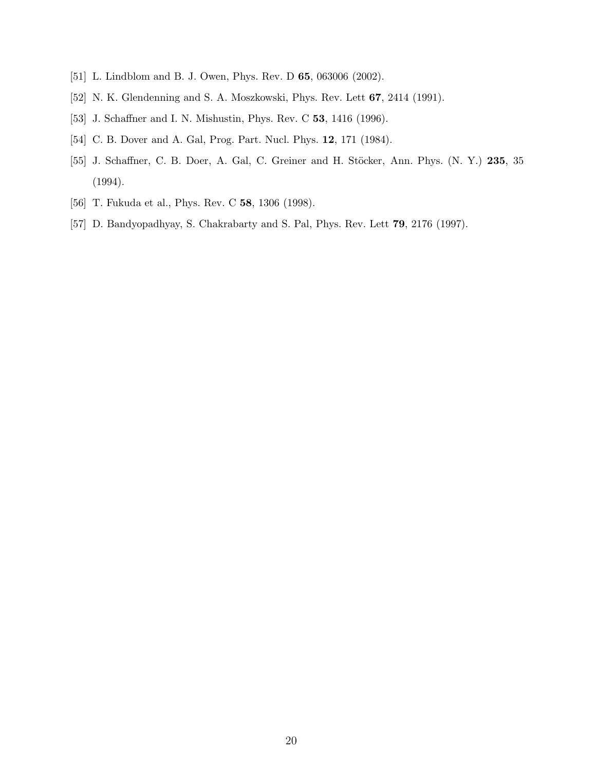- [51] L. Lindblom and B. J. Owen, Phys. Rev. D **65**, 063006 (2002).
- [52] N. K. Glendenning and S. A. Moszkowski, Phys. Rev. Lett 67, 2414 (1991).
- [53] J. Schaffner and I. N. Mishustin, Phys. Rev. C 53, 1416 (1996).
- [54] C. B. Dover and A. Gal, Prog. Part. Nucl. Phys. 12, 171 (1984).
- [55] J. Schaffner, C. B. Doer, A. Gal, C. Greiner and H. Stöcker, Ann. Phys. (N. Y.) 235, 35 (1994).
- [56] T. Fukuda et al., Phys. Rev. C 58, 1306 (1998).
- [57] D. Bandyopadhyay, S. Chakrabarty and S. Pal, Phys. Rev. Lett 79, 2176 (1997).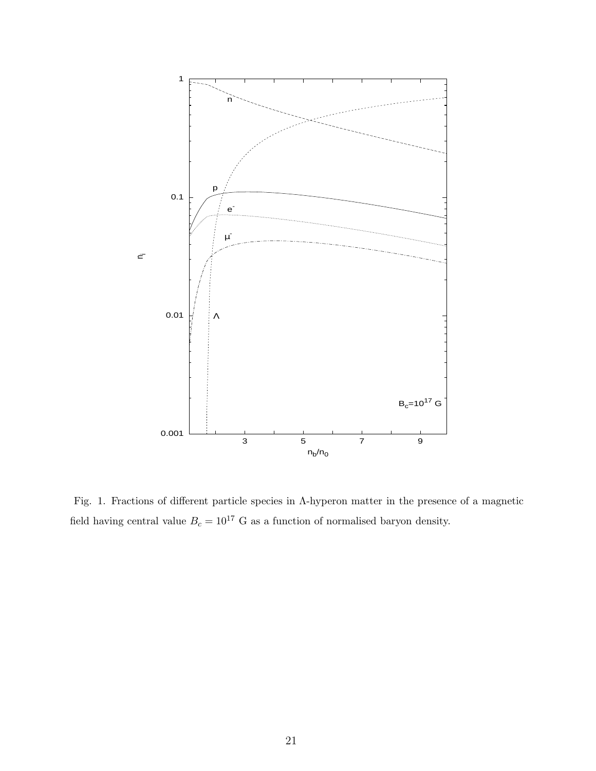

Fig. 1. Fractions of different particle species in Λ-hyperon matter in the presence of a magnetic field having central value  $B_c = 10^{17}$  G as a function of normalised baryon density.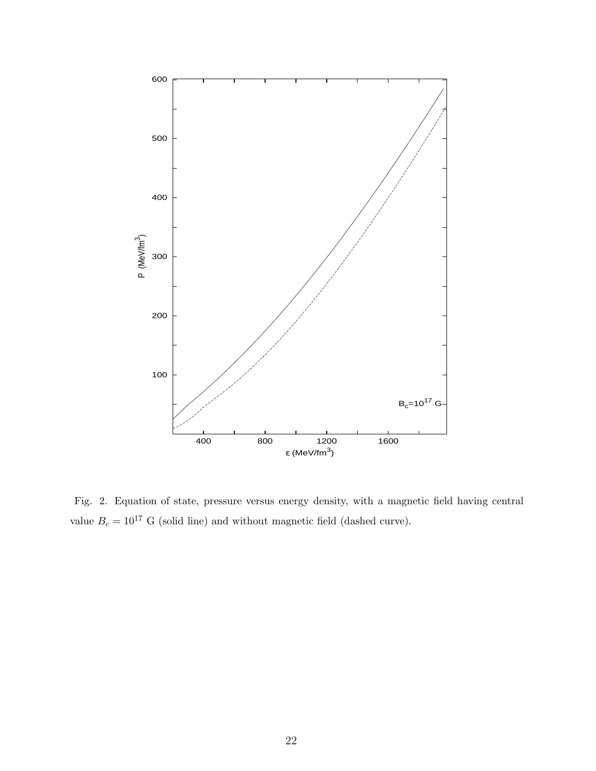

Fig. 2. Equation of state, pressure versus energy density, with a magnetic field having central value  $B_c = 10^{17}$  G (solid line) and without magnetic field (dashed curve).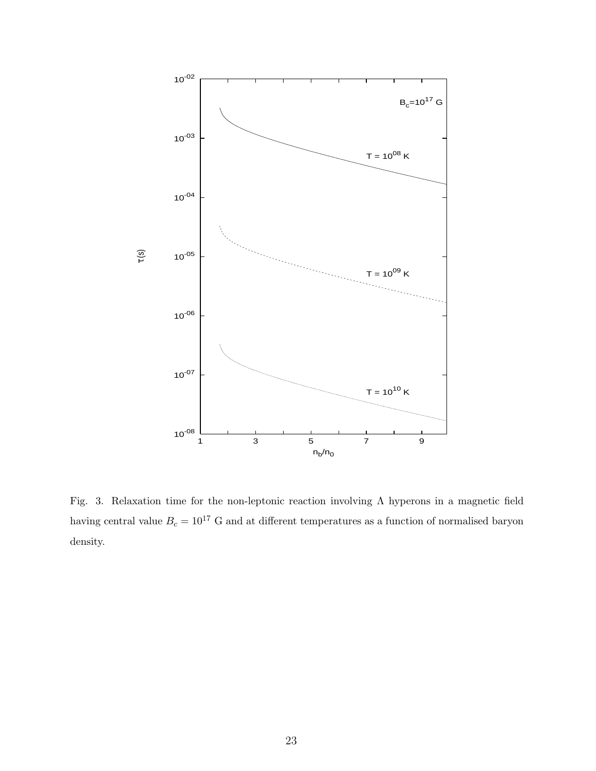

Fig. 3. Relaxation time for the non-leptonic reaction involving Λ hyperons in a magnetic field having central value  $B_c = 10^{17}$  G and at different temperatures as a function of normalised baryon density.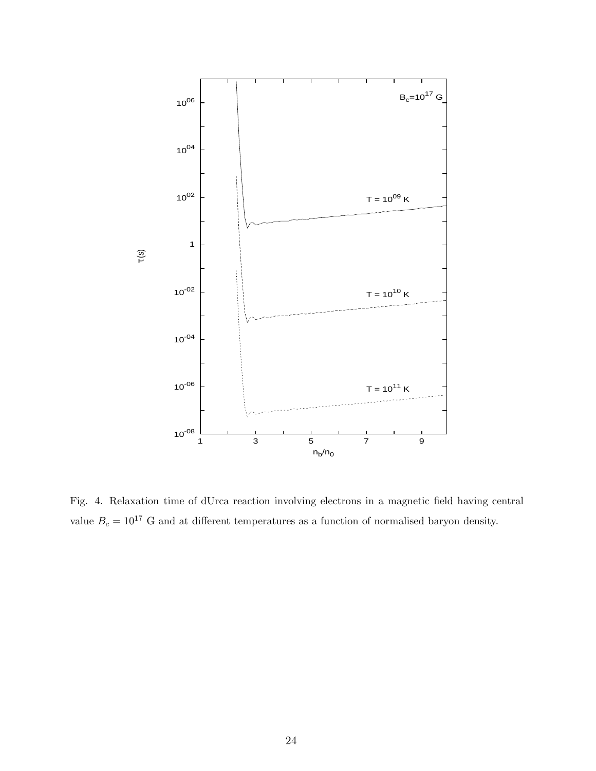

Fig. 4. Relaxation time of dUrca reaction involving electrons in a magnetic field having central value  $B_c = 10^{17}$  G and at different temperatures as a function of normalised baryon density.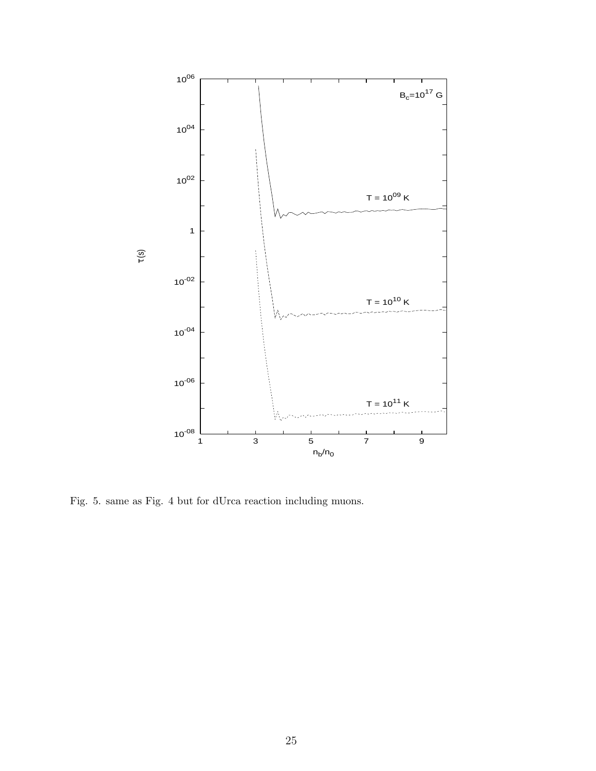

Fig. 5. same as Fig. 4 but for dUrca reaction including muons.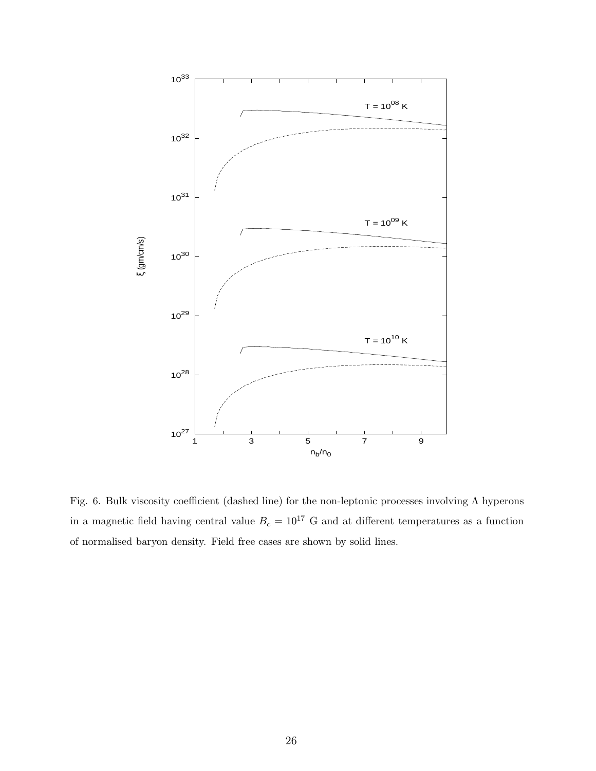

Fig. 6. Bulk viscosity coefficient (dashed line) for the non-leptonic processes involving Λ hyperons in a magnetic field having central value  $B_c = 10^{17}$  G and at different temperatures as a function of normalised baryon density. Field free cases are shown by solid lines.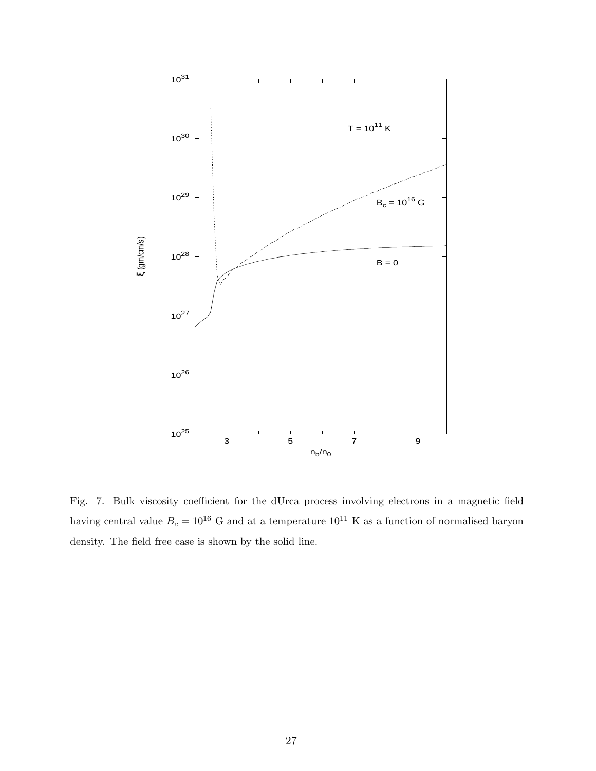

Fig. 7. Bulk viscosity coefficient for the dUrca process involving electrons in a magnetic field having central value  $B_c=10^{16}~\mathrm{G}$  and at a temperature  $10^{11}~\mathrm{K}$  as a function of normalised baryon density. The field free case is shown by the solid line.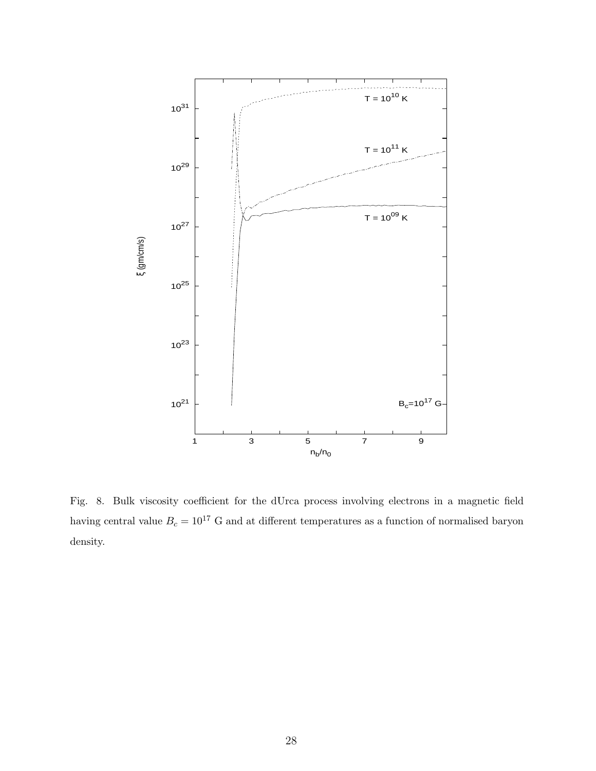

Fig. 8. Bulk viscosity coefficient for the dUrca process involving electrons in a magnetic field having central value  $B_c = 10^{17}$  G and at different temperatures as a function of normalised baryon density.